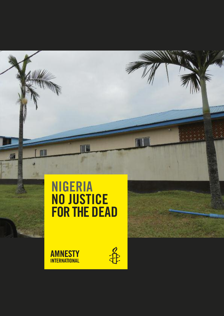# **nigeria no justice forthe dead**

**AMNESTY INTERNATIONAL** 



П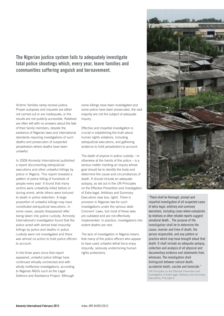**the nigerian justice system fails to adequately investigate fatal police shootings which, every year, leave families and communities suffering anguish and bereavement.**

Victims' families rarely receive justice. Proper autopsies and inquests are either not carried out or are inadequate, or the results are not publicly accessible. Relatives are often left with no answers about the fate of their family members, despite the existence of Nigerian laws and international standards requiring investigations of such deaths and prosecution of suspected perpetrators where deaths have been unlawful.

In 2009 Amnesty International published a report documenting extrajudicial executions and other unlawful killings by police in Nigeria. This report revealed a pattern of police killing of hundreds of people every year. It found that many victims were unlawfully killed before or during arrest, while others were tortured to death in police detention. A large proportion of unlawful killings may have constituted extrajudicial executions. In some cases, people disappeared after being taken into police custody. Amnesty International's investigation found that the police acted with almost total impunity: killings by police and deaths in police custody were not investigated and there was almost no action to hold police officers to account.

In the three years since that report appeared, unlawful police killings have continued virtually unchecked and with wholly ineffective investigations, according to Nigerian NGOs such as the Legal Defence and Assistance Project. Although

some killings have been investigated and some police have been prosecuted, the vast majority are not the subject of adequate inquiry.

Effective and impartial investigation is crucial in establishing the truth about human rights violations, including extrajudicial executions, and gathering evidence to hold perpetrators to account.

The death of anyone in police custody – or otherwise at the hands of the police – is a serious matter meriting an inquiry whose goal should be to identify the body and determine the cause and circumstances of death. It should include an adequate autopsy, as set out in the UN Principles on the Effective Prevention and Investigation of Extra-legal, Arbitrary and Summary Executions (see box, right). There is provision in Nigerian law for such investigations under the various state Coroners' Laws, but most of these laws are outdated and are not effectively implemented. In practice, investigations into violent deaths are rare.

The lack of investigation in Nigeria means that many of the police officers who appear to have used unlawful lethal force enjoy impunity, seriously undermining human rights protections.



"There shall be thorough, prompt and impartial investigation of all suspected cases of extra-legal, arbitrary and summary executions, including cases where complaints by relatives or other reliable reports suggest unnatural death... The purpose of the investigation shall be to determine the cause, manner and time of death, the person responsible, and any pattern or practice which may have brought about that death. It shall include an adequate autopsy, collection and analysis of all physical and documentary evidence and statements from witnesses. The investigation shall distinguish between natural death,

#### accidental death, suicide and homicide."

UN Principles on the Effective Prevention and Investigation of Extra-legal, Arbitrary and Summary Executions, Principle 9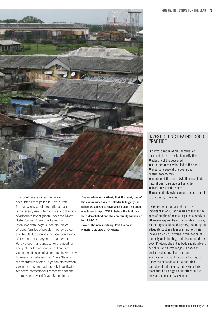

This briefing examines the lack of accountability of police in Rivers State for the excessive, disproportionate and unnecessary use of lethal force and the lack of adequate investigation under the Rivers State Coroners' Law. It is based on interviews with lawyers, doctors, police officers, families of people killed by police, and NGOs. It describes the poor conditions of the main mortuary in the state capital, Port Harcourt, and argues for the need for adequate autopsies and identification of victims in all cases of violent death. Amnesty International believes that Rivers State is representative of other Nigerian states where violent deaths are inadequately investigated. Amnesty International's recommendations are relevant beyond Rivers State alone.

**Above: Abonnema Wharf, Port Harcourt, one of the communities where unlawful killings by the police are alleged to have taken place. The photo was taken in April 2011, before the buildings were demolished and the community broken up in mid-2012.**

**Cover: The new mortuary, Port Harcourt, Nigeria, July 2012. © Private**

### INVESTIGATING DEATHS: GOOD **PRACTICE**

The investigation of an unnatural or unexpected death seeks to clarify the:

- identity of the deceased
- $\blacksquare$  circumstances which led to the death
- medical cause of the death and contributory factors
- manner of the death (whether accident, natural death, suicide or homicide)
- lawfulness of the death
- $\blacksquare$  responsibility (who caused or contributed to the death, if anyone)

Investigation of unnatural death is important in ensuring the rule of law. In the case of deaths of people in police custody or otherwise apparently at the hands of police, an inquiry should be obligatory, including an adequate post-mortem examination. This involves a careful external examination of the body and clothing, and dissection of the body. Photographs of the body should always be taken, and X-ray images in cases of death by shooting. Post-mortem examinations should be carried out by, or under the supervision of, a qualified pathologist before embalming since this procedure has a significant effect on the body and may destroy evidence.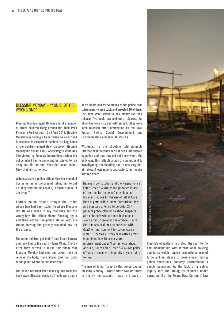### BlESSING MONDAy – "yOu SHOT THE wRONG ONE"

**Blessing Monday, aged 16, was one of a number of street children living around the abali Park flyoverin Port harcourt. on 8 april 2012, Blessing Monday was helping a trader when police arrived in response to a report of the theft of a bag. some of the children immediately ran away. Blessing Monday hid behind a bus. according to witnesses interviewed by amnesty international, when the police asked him to come out, he started to run away and did not stop when the police called. they shot him as he fled.**

**Witnessessaw a police officer kick the wounded boy as he lay on the ground, telling him to get up. they said that he replied, in obvious pain: "i am dying."**

**another police officer brought the trader whose bag had been stolen to where Blessing lay. he was heard to say that they had the wrong boy. the officer kicked Blessing again and then left for the police station with the trader, leaving the gravely wounded boy on the ground.**

**the other children put their friend into a barrow and took him to the nearby teme clinic. shortly after they arrived, a nurse told them that Blessing Monday had died and asked them to remove the body. the children took him back to the place where he had been shot.**

**the police returned later that day and took the body away. Blessing Monday's friends were angry** **at his death and threw stones at the police, who subsequently came back and arrested 10 of them. the boys were asked to pay money for their release; five could pay and were released, the other five were charged with assault. (they were later released after intervention by the ngo, human rights, social development and environmental foundation, hursdef.)**

**Witnesses to the shooting told amnesty international that they had not been interviewed by police and that they did not know where the body was. this reflects a lack of commitment to investigating the shooting and to ensuring that all relevant evidence is available to an inquiry into the death.**

Nigeria's Constitution and the Nigeria Police Force Order 237 (Rules for guidance in use of firearms by the police) provide much broader grounds for the use of lethal force than is permissible under international law and standards. Police Force Order 237 permits police officers to shoot suspects and detainees who attempt to escape or avoid arrest, "provided the offence is such that the accused may be punished with death or imprisonment for seven years or more." Escaping custody or resisting arrest is punishable with seven years' imprisonment under Nigerian legislation. As such, Police Force Order 237 allows police officers to shoot with impunity anyone trying to flee.

**the use of lethal force by the police against Blessing Monday – where there was no threat to life by the suspect – was in breach of**



**nigeria's obligations to protect the right to life and incompatible with international policing standards which require proportional use of force and assistance to those injured during police operations. amnesty international is deeply concerned by the lack of a public inquiry into the killing as required under paragraph 2 of the rivers state coroners' Law**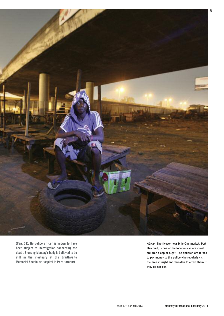

**(cap. 34). no police officer is known to have been subject to investigation concerning the death. Blessing Monday's bodyis believed to be still in the mortuary at the Braithwaite Memorial specialist hospital in Port harcourt.**

**Above: The flyover near Mile One market, Port Harcourt, is one of the locations where street children sleep at night. The children are forced to pay money to the police who regularly visit the area at night and threaten to arrest them if they do not pay.**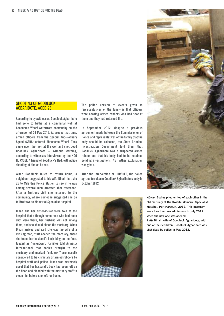### SHOOTING OF GOODLUCK AGBARIBOTE, AGED 26

**according to eyewitnesses, goodluck agbaribote had gone to bathe at a communal well at abonnema Wharf waterfront community on the afternoon of 24 May 2012. at around that time, armed officers from the special anti-robbery squad (sars) entered abonnema Wharf. they came upon the men at the well and shot dead goodluck agbaribote – without warning, according to witnesses interviewed by the ngo hursdef. a friend of goodluck's fled, with police shooting at him as he ran.**

**When goodluck failed to return home, a neighbour suggested to his wife dinah that she go to Mile one Police station to see if he was among several men arrested that afternoon. after a fruitless visit she returned to the community, where someone suggested she go to Braithwaite Memorial specialist hospital.**

**dinah and her sister-in-law were told at the hospital that although some men who had been shot were there, her husband was not among them, and she should check the mortuary. When dinah arrived and said she was the wife of a missing man, staff opened the mortuary; there she found her husband's body lying on the floor, tagged as "unknown". families told amnesty international that bodies brought to the mortuary and marked "unknown" are usually considered to be criminals or armed robbers by hospital staff and police. dinah was extremely upset that her husband's body had been left on the floor, and pleaded with the mortuary staff to clean him before she left for home.**

**the police version of events given to representatives of the family is that officers were chasing armed robbers who had shot at them and they had returned fire.**

**in september 2012, despite a previous agreement made between the commissioner of Police and representatives of the familythat the body should be released, the state criminal investigation department told them that goodluck agbaribote was a suspected armed robber and that his body had to be retained pending investigations. no further explanation was given.**

**after the intervention of hursdef, the police agreed to release goodluck agbaribote's bodyin october 2012.**

![](_page_5_Picture_8.jpeg)

**Above: Bodies piled on top of each other in the old mortuary at Braithwaite Memorial Specialist Hospital, Port Harcourt, 2012. This mortuary was closed for new admissions in July 2012 when the new one was opened.**

**Left: Dinah, wife of Goodluck Agbaribote, with one of their children. Goodluck Agbaribote was shot dead by police in May 2012.**

![](_page_5_Picture_11.jpeg)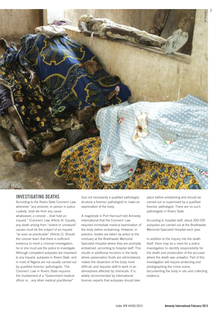![](_page_6_Picture_0.jpeg)

### **inVestigating deaths**

According to the Rivers State Coroners' Law, whenever "any prisoner, or person in police custody, shall die from any cause whatsoever, a coroner... shall hold an inquest." (Coroners' Law, Article 4). Equally, any death arising from "violent or unnatural" causes must be the subject of an inquest "as soon as practicable" (Article 2). Should the coroner learn that there is sufficient evidence to merit a criminal investigation, he or she must ask the police to investigate. Although competent autopsies are important to any inquest, autopsies in Rivers State and in most of Nigeria are not usually carried out by qualified forensic pathologists. The Coroners' Law in Rivers State requires the involvement of a "Government medical officer or... any other medical practitioner"

(but not necessarily a qualified pathologist, let alone a forensic pathologist) to make an examination of the body.

A magistrate in Port Harcourt told Amnesty International that the Coroners' Law required immediate medical examination of the body before embalming. However, in practice, bodies are taken by police to the mortuary at the Braithwaite Memorial Specialist Hospital where they are promptly embalmed, according to hospital staff. This results in additional incisions in the body where preservation fluids are administered, makes the dissection of the body more difficult, and requires staff to work in an atmosphere affected by chemicals. It is widely recommended by international forensic experts that autopsies should take

place before embalming and should be carried out or supervised by a qualified forensic pathologist. There are no such pathologists in Rivers State.

According to hospital staff, about 200-250 autopsies are carried out at the Braithwaite Memorial Specialist Hospital each year.

In addition to the inquiry into the death itself, there may be a need for a police investigation to identify responsibility for the death and prosecution of the accused where the death was unlawful. Part of this investigation will require protecting and photographing the crime scene, documenting the body in situ and collecting evidence.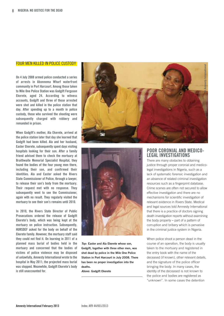### FOUR MEN KILLED IN POLICE CUSTODY

**on 4 july 2008 armed police conducted a series of arrests in abonnema Wharf waterfront community in Port harcourt. among those taken to Mile one Police station was godgift ferguson ekerete, aged 24. according to witness accounts, godgift and three of those arrested were shot and killed in the police station that day. after spending up to a month in police custody, those who survived the shooting were subsequently charged with robbery and remanded in prison.**

**When godgift's mother, ala ekerete, arrived at the police station later that day she learned that godgift had been killed. ala and her husband, easter ekerete, subsequently spent days visiting hospitals looking for their son. after a family friend advised them to check the mortuary at Braithwaite Memorial specialist hospital, they found the bodies of the four young men there, including their son, and confirmed their identities. ala and easter asked the rivers state commissioner of Police, through a lawyer, to release their son's body from the mortuary. their request met with no response. they subsequently went to see the commissioner, again with no result. they regularly visited the mortuary to see their son's remains until 2010.**

**in 2010, the rivers state director of Public Prosecutions ordered the release of godgift ekerete's body, which was being kept at the mortuary on police instruction. subsequently, hursdef asked for the body on behalf of the ekerete family. however, the mortuary staff said they could not find it. on learning in 2011 of a planned mass burial of bodies held in the mortuary and concerned that the bodies of victims of police violence may be disposed of unlawfully, amnestyinternational wrote to the hospital in May 2011; the projected mass burial was stopped. Meanwhile, godgift ekerete's body is still unaccounted for.**

![](_page_7_Picture_5.jpeg)

![](_page_7_Picture_6.jpeg)

**Top: Easter and Ala Ekerete whose son, Godgift, together with three other men, was shot dead by police in the Mile One Police Station in Port Harcourt in July 2008. There has been no proper investigation into the deaths.**

**Above: Godgift Ekerete**

## **Poor coroniaL and Medico- LegaL inVestigations**

There are many obstacles to obtaining justice through proper coronial and medicolegal investigations in Nigeria, such as a lack of systematic forensic investigation and an absence of related criminal investigation resources such as a fingerprint database. Crime scenes are often not secured to allow effective investigation and there are no mechanisms for scientific investigation of relevant evidence in Rivers State. Medical and legal sources told Amnesty International that there is a practice of doctors signing death investigation reports without examining the body properly **–** part of a pattern of corruption and bribery which is pervasive in the criminal justice system in Nigeria.

When police shoot a person dead in the course of an operation, the body is usually taken to the mortuary and registered in the entry book with the name of the deceased (if known), other relevant details, and the signature of the police officer bringing the body. In many cases, the identity of the deceased is not known to the police and bodies are registered as "unknown". In some cases the detention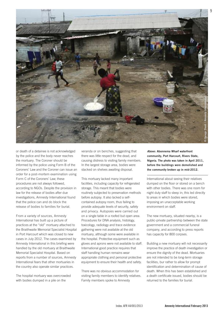![](_page_8_Picture_0.jpeg)

or death of a detainee is not acknowledged by the police and the body never reaches the mortuary. The Coroner should be informed by the police using Form B of the Coroners' Law and the Coroner can issue an order for a post-mortem examination using Form C of the Coroners' Law; these procedures are not always followed, according to NGOs. Despite the provision in law for the release of bodies after due investigations, Amnesty International found that the police can and do block the release of bodies to families for burial.

From a variety of sources, Amnesty International has built up a picture of practices at the "old" mortuary attached to the Braithwaite Memorial Specialist Hospital in Port Harcourt which was closed to new cases in July 2012. The cases examined by Amnesty International in this briefing were handled by the old mortuary at Braithwaite Memorial Specialist Hospital. Based on reports from a number of sources, Amnesty International fears that other mortuaries in the country also operate similar practices.

The hospital mortuary was overcrowded with bodies dumped in a pile on the

veranda or on benches, suggesting that there was little respect for the dead, and causing distress to visiting family members. In the largest storage area, bodies were stacked on shelves awaiting disposal.

This mortuary lacked many important facilities, including capacity for refrigerated storage. This meant that bodies were routinely subjected to preservation methods before autopsy. It also lacked a selfcontained autopsy room, thus failing to provide adequate levels of security, safety and privacy. Autopsies were carried out on a single table in a roofed but open area. Procedures for DNA analysis, histology, toxicology, radiology and trace evidence gathering were not available at the old mortuary, although some were available in the hospital. Protective equipment such as gloves and aprons were not available to staff. International good practice requires that staff handling human remains wear appropriate clothing and personal protective equipment to ensure their health and safety.

There was no obvious accommodation for visiting family members to identify relatives. Family members spoke to Amnesty

**Above: Abonnema Wharf waterfront community, Port Harcourt, Rivers State, Nigeria. The photo was taken in April 2011, before the buildings were demolished and the community broken up in mid-2012.**

International about seeing their relatives dumped on the floor or stored on a bench with other bodies. There was one room for night duty staff to sleep in; this led directly to areas in which bodies were stored, imposing an unacceptable working environment on staff.

The new mortuary, situated nearby, is a public-private partnership between the state government and a commercial funeral company, and according to press reports has capacity for 800 corpses.

Building a new mortuary will not necessarily improve the practice of death investigation or ensure the dignity of the dead. Mortuaries are not intended to be long-term storage facilities, bur rather to allow for prompt identification and determination of cause of death. When this has been established and a death certificate issued, bodies should be returned to the families for burial.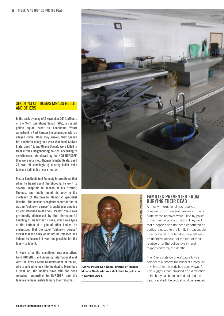![](_page_9_Picture_1.jpeg)

**in the early evening of 2 november 2011, officers of the swift operations squad (sos), a special police squad, went to abonnema Wharf waterfront in Port harcourt in connection with an alleged crime. When they arrived, they opened fire and three young men were shot dead. godwin etete, aged 18, and ubong udoudo were killed in front of their neighbouring houses. according to eyewitnesses interviewed by the ngo hursdef, they were unarmed. thomas Mmabu neele, aged 20, was hit seemingly by a stray bullet while taking a bath in his house nearby.**

**Pastor Ken neele told amnestyinternational that when he heard about the shooting he went to several hospitals in search of his brother, thomas, and finally found his body in the mortuary of Braithwaite Memorial specialist hospital. the mortuary register recorded that it was an "unknown corpse" brought in by a police officer attached to the sos. Pastor neele was profoundly distressed by the disrespectful handling of his brother's body, which was lying at the bottom of a pile of other bodies. he understood that the label "unknown corpse" meant that the body would not be released and indeed he learned it was not possible for the family to take it.**

**a week after the shootings, representatives from hursdef and amnesty international met with the rivers state commissioner of Police, who promised to look into the deaths. More than a year on, the bodies have still not been released, according to hursdef, and the families remain unable to bury their relatives.**

![](_page_9_Picture_5.jpeg)

![](_page_9_Picture_6.jpeg)

**Above: Pastor Ken Neele, brother of Thomas Mmabu Neele who was shot dead by police in November 2011.**

### **faMiLies PreVented froM Burying their dead**

Amnesty International has received complaints from several families in Rivers State whose relatives were killed by police or had died in police custody. They said that autopsies had not been conducted or bodies released to the family in reasonable time for burial. The families were left with no definitive account of the fate of their relative or of the police role in, and responsibility for, the deaths.

The Rivers State Coroners' Law allows a coroner to authorize the burial of a body "at any time after the body has been viewed". This suggests that, provided an examination of the body has been carried out and the death certified, the body should be released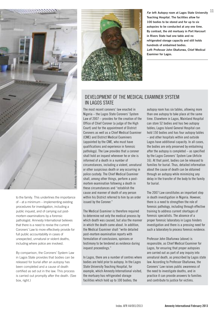![](_page_10_Picture_0.jpeg)

to the family. This underlines the importance of – at a minimum – implementing existing procedures for investigation, including a public inquest, and of carrying out postmortem examinations by a forensic pathologist. Amnesty International believes that there is a need to revise the current Coroners' Law to more effectively provide for full public accountability in cases of unexpected, unnatural or violent deaths, including where police are involved.

By comparison, the Coroners' System Law in Lagos State provides that bodies can be released for burial after an autopsy has been completed and a cause of death certified as set out in the law. This process is carried out promptly after the death. (See box, right.)

![](_page_10_Picture_3.jpeg)

**Far left: Autopsy room at Lagos State University Teaching Hospital. The facilities allow for 100 bodies to be stored and for up to six autopsies to be conducted at any one time. By contrast, the old mortuary in Port Harcourt in Rivers State had one table and no refrigerated storage capacity and still holds hundreds of embalmed bodies. Left: Professor John Obafunwa, Chief Medical Examiner for Lagos.**

11

### DEVElOPMENT OF THE MEDICAl EXAMINER SySTEM IN lAGOS STATE

The most recent coroners' law enacted in Nigeria – the lagos State Coroners' System law of 2007 – provides for the creation of the Office of Chief Coroner (a judge of the High Court) and for the appointment of District Coroners as well as a Chief Medical Examiner (CME) and District Medical Examiners (appointed by the CME, who must have qualifications and experience in forensic pathology). The law provides that a coroner shall hold an inquest whenever he or she is informed of a death in a number of circumstances, including a violent, unnatural or other suspicious death or any occurring in police custody. The Chief Medical Examiner shall, among other things, perform a postmortem examination following a death in these circumstances and "establish the cause and manner of death of any person within his District referred to him by an order issued by the Coroner."

The Medical Examiner is therefore required to determine not only the medical process by which death was caused, but also the manner in which the death came about. In addition, the Medical Examiner shall "write detailed post-mortem examination reports with formulation of conclusions, opinions or testimony to be tendered as evidence during inquest proceedings."

In lagos, there are a number of centres where bodies are held prior to autopsy. In the lagos State University Teaching Hospital, for example, which Amnesty International visited, the mortuary has refrigerated storage facilities which hold up to 100 bodies; the

autopsy room has six tables, allowing more than one autopsy to take place at the same time. Elsewhere in lagos, Mainland Hospital can store 52 bodies and has two autopsy tables; lagos Island General Hospital can hold 150 bodies and has four autopsy tables – and other hospitals within and outside lagos have additional capacity. In all cases, the bodies are only preserved by embalming after the autopsy is completed – as specified by the lagos Coroners' System law (Article 16). At that point, bodies can be released to families for burial. Thus, detailed information about the cause of death can be obtained through an autopsy while minimizing any delay in the transfer of the body to the family for burial.

The 2007 law constitutes an important step in death investigation in Nigeria. However, there is a need to strengthen the role of forensic pathology, including through effective training to address current shortages of forensic specialists. The absence of a proper forensic laboratory in lagos hinders investigation and there is a pressing need for such a laboratory to process forensic evidence.

Professor John Obafunwa (above) is responsible, as Chief Medical Examiner for lagos, for ensuring that proper autopsies are carried out as part of any inquiry into unnatural death, as prescribed by lagos state law. According to Professor Obafunwa, the Coroners' law raises public awareness of the need to investigate deaths, and in practice it can provide answers to families and contribute to justice for victims.